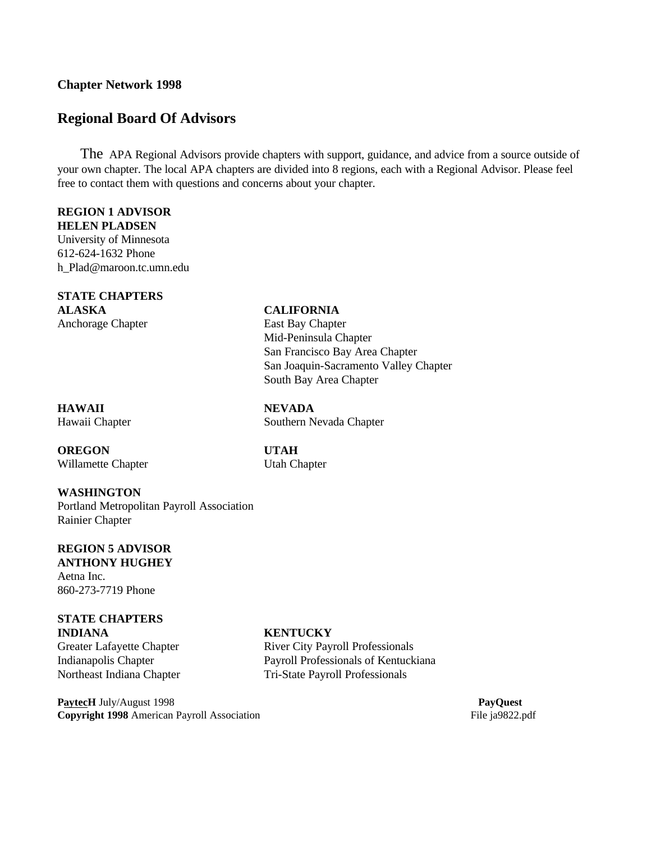### **Chapter Network 1998**

# **Regional Board Of Advisors**

The APA Regional Advisors provide chapters with support, guidance, and advice from a source outside of your own chapter. The local APA chapters are divided into 8 regions, each with a Regional Advisor. Please feel free to contact them with questions and concerns about your chapter.

## **REGION 1 ADVISOR**

**HELEN PLADSEN** University of Minnesota 612-624-1632 Phone h\_Plad@maroon.tc.umn.edu

### **STATE CHAPTERS**

**ALASKA CALIFORNIA** Anchorage Chapter **East Bay Chapter** 

Mid-Peninsula Chapter San Francisco Bay Area Chapter San Joaquin-Sacramento Valley Chapter South Bay Area Chapter

**HAWAII NEVADA**

Hawaii Chapter Southern Nevada Chapter

**OREGON UTAH** Willamette Chapter Utah Chapter

### **WASHINGTON**

Portland Metropolitan Payroll Association Rainier Chapter

### **REGION 5 ADVISOR ANTHONY HUGHEY**

Aetna Inc. 860-273-7719 Phone

### **STATE CHAPTERS INDIANA KENTUCKY**

**PaytecH** July/August 1998 **PayQuest Copyright 1998** American Payroll Association File ja9822.pdf

Greater Lafayette Chapter **River City Payroll Professionals** Indianapolis Chapter Payroll Professionals of Kentuckiana Northeast Indiana Chapter Tri-State Payroll Professionals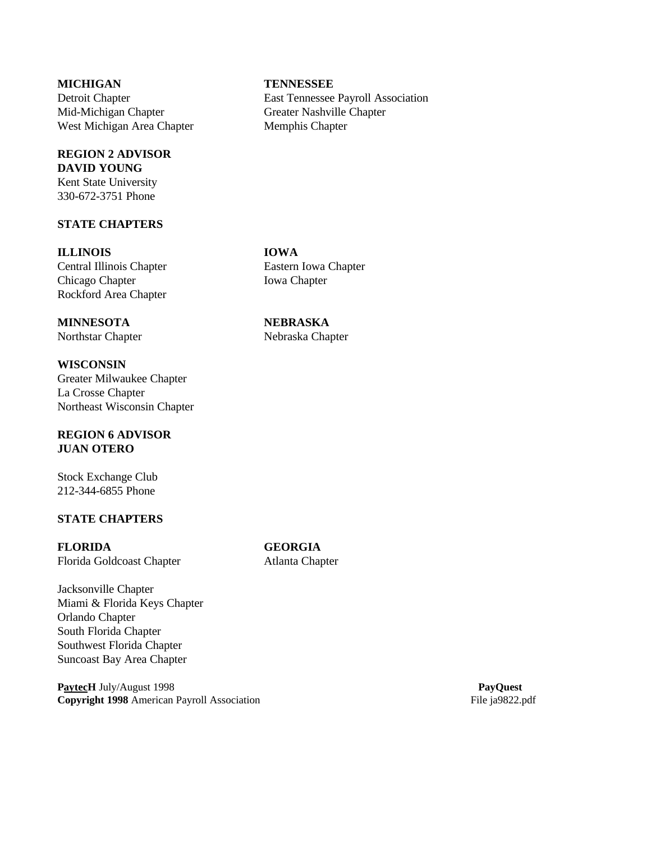Mid-Michigan Chapter Greater Nashville Chapter West Michigan Area Chapter Memphis Chapter

## **REGION 2 ADVISOR DAVID YOUNG**

Kent State University 330-672-3751 Phone

### **STATE CHAPTERS**

### **ILLINOIS IOWA**

Chicago Chapter **Iowa Chapter** Rockford Area Chapter

# **MINNESOTA NEBRASKA**

**WISCONSIN** Greater Milwaukee Chapter La Crosse Chapter Northeast Wisconsin Chapter

### **REGION 6 ADVISOR JUAN OTERO**

Stock Exchange Club 212-344-6855 Phone

### **STATE CHAPTERS**

**FLORIDA GEORGIA** Florida Goldcoast Chapter **Atlanta Chapter** 

Jacksonville Chapter Miami & Florida Keys Chapter Orlando Chapter South Florida Chapter Southwest Florida Chapter Suncoast Bay Area Chapter

**PaytecH** July/August 1998 **PayQuest Copyright 1998** American Payroll Association File ja9822.pdf

### **MICHIGAN TENNESSEE**

Detroit Chapter East Tennessee Payroll Association

Central Illinois Chapter Eastern Iowa Chapter

Northstar Chapter Nebraska Chapter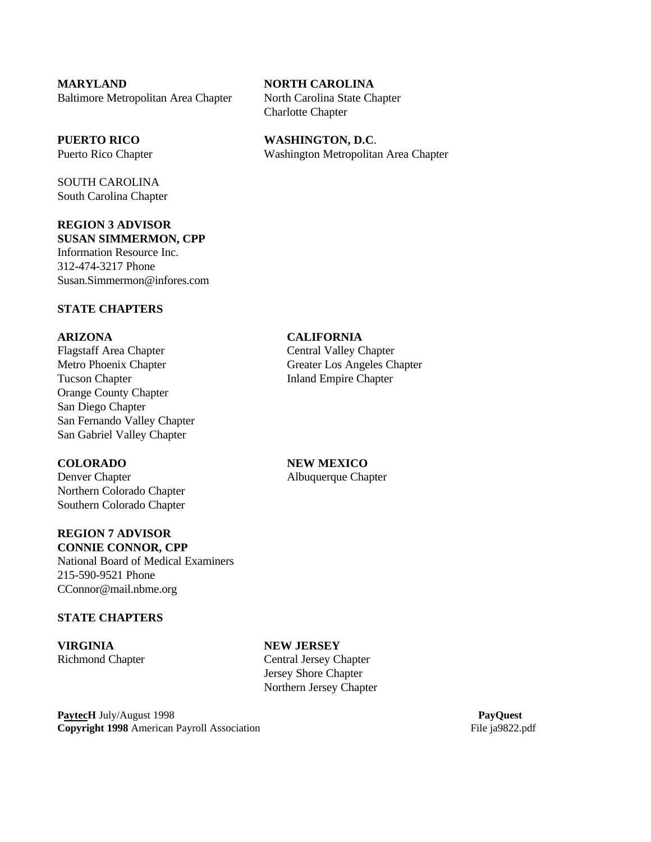**MARYLAND NORTH CAROLINA** Baltimore Metropolitan Area Chapter North Carolina State Chapter

SOUTH CAROLINA South Carolina Chapter

### **REGION 3 ADVISOR SUSAN SIMMERMON, CPP**

Information Resource Inc. 312-474-3217 Phone Susan.Simmermon@infores.com

### **STATE CHAPTERS**

Flagstaff Area Chapter Central Valley Chapter Metro Phoenix Chapter Greater Los Angeles Chapter Tucson Chapter **Inland Empire Chapter** Orange County Chapter San Diego Chapter San Fernando Valley Chapter San Gabriel Valley Chapter

Denver Chapter Albuquerque Chapter Northern Colorado Chapter Southern Colorado Chapter

### **REGION 7 ADVISOR CONNIE CONNOR, CPP**

National Board of Medical Examiners 215-590-9521 Phone CConnor@mail.nbme.org

### **STATE CHAPTERS**

**VIRGINIA NEW JERSEY**

Charlotte Chapter

**PUERTO RICO WASHINGTON, D.C**. Puerto Rico Chapter Washington Metropolitan Area Chapter

### **ARIZONA CALIFORNIA**

### **COLORADO NEW MEXICO**

# Richmond Chapter Central Jersey Chapter Jersey Shore Chapter Northern Jersey Chapter

**PaytecH** July/August 1998 **PaytecH** July/August 1998 **Copyright 1998** American Payroll Association File ja9822.pdf